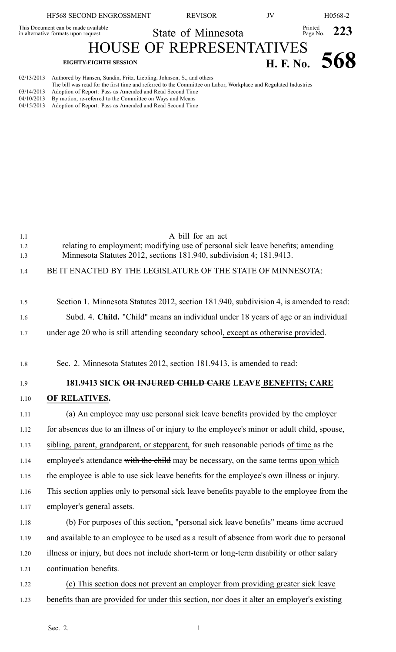|            | HF568 SECOND ENGROSSMENT                                                                                                                                                                | <b>REVISOR</b>                  | JV            | H0568-2                   |
|------------|-----------------------------------------------------------------------------------------------------------------------------------------------------------------------------------------|---------------------------------|---------------|---------------------------|
|            | This Document can be made available<br>in alternative formats upon request                                                                                                              | State of Minnesota              |               | Printed<br>Page No. $223$ |
|            |                                                                                                                                                                                         | <b>HOUSE OF REPRESENTATIVES</b> |               |                           |
|            | <b>EIGHTY-EIGHTH SESSION</b>                                                                                                                                                            |                                 | H. F. No. 568 |                           |
| 02/13/2013 | Authored by Hansen, Sundin, Fritz, Liebling, Johnson, S., and others<br>The bill was read for the first time and referred to the Committee on Labor. Workplace and Regulated Industries |                                 |               |                           |

- The bill was read for the first time and referred to the Committee on Labor, Workplace and Regulated Industries
- 03/14/2013 Adoption of Report: Pass as Amended and Read Second Time 04/10/2013 By motion, re-referred to the Committee on Ways and Means
- 04/15/2013 Adoption of Report: Pass as Amended and Read Second Time

1.1 A bill for an act 1.2 relating to employment; modifying use of personal sick leave benefits; amending 1.3 Minnesota Statutes 2012, sections 181.940, subdivision 4; 181.9413. 1.4 BE IT ENACTED BY THE LEGISLATURE OF THE STATE OF MINNESOTA: 1.5 Section 1. Minnesota Statutes 2012, section 181.940, subdivision 4, is amended to read: 1.6 Subd. 4. **Child.** "Child" means an individual under 18 years of age or an individual 1.7 under age 20 who is still attending secondary school, excep<sup>t</sup> as otherwise provided. 1.8 Sec. 2. Minnesota Statutes 2012, section 181.9413, is amended to read: 1.9 **181.9413 SICK OR INJURED CHILD CARE LEAVE BENEFITS; CARE** 1.10 **OF RELATIVES.** 1.11 (a) An employee may use personal sick leave benefits provided by the employer 1.12 for absences due to an illness of or injury to the employee's minor or adult child, spouse, 1.13 sibling, parent, grandparent, or stepparent, for such reasonable periods of time as the 1.14 employee's attendance with the child may be necessary, on the same terms upon which 1.15 the employee is able to use sick leave benefits for the employee's own illness or injury. 1.16 This section applies only to personal sick leave benefits payable to the employee from the 1.17 employer's general assets. 1.18 (b) For purposes of this section, "personal sick leave benefits" means time accrued 1.19 and available to an employee to be used as <sup>a</sup> result of absence from work due to personal 1.20 illness or injury, but does not include short-term or long-term disability or other salary 1.21 continuation benefits. 1.22 (c) This section does not preven<sup>t</sup> an employer from providing greater sick leave

1.23 benefits than are provided for under this section, nor does it alter an employer's existing